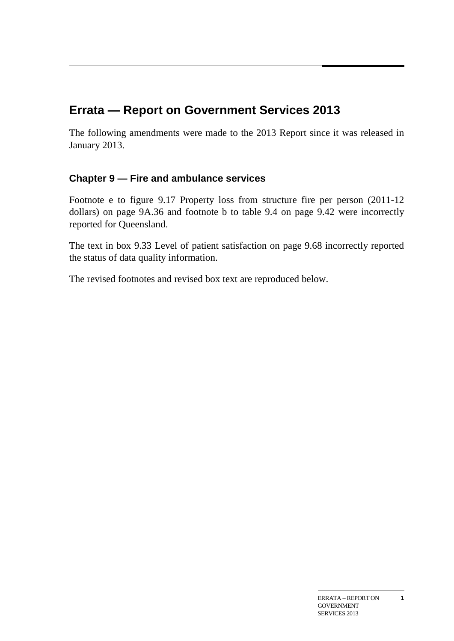# **Errata — Report on Government Services 2013**

The following amendments were made to the 2013 Report since it was released in January 2013.

## **Chapter 9 — Fire and ambulance services**

Footnote e to figure 9.17 Property loss from structure fire per person (2011-12 dollars) on page 9A.36 and footnote b to table 9.4 on page 9.42 were incorrectly reported for Queensland.

The text in box 9.33 Level of patient satisfaction on page 9.68 incorrectly reported the status of data quality information.

The revised footnotes and revised box text are reproduced below.

**1**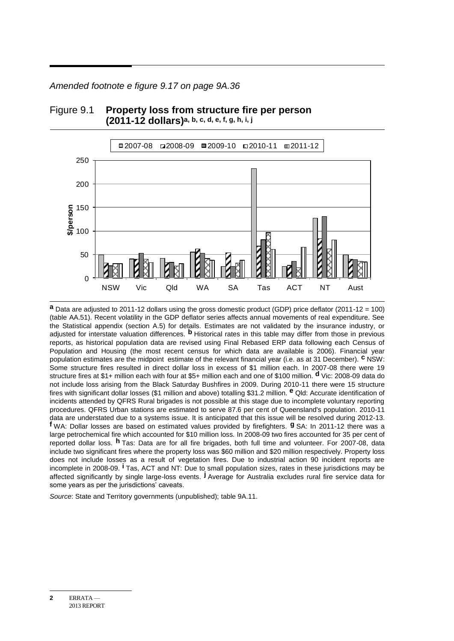*Amended footnote e figure 9.17 on page 9A.36*



#### Figure 9.1 **Property loss from structure fire per person (2011-12 dollars)a, b, c, d, e, f, g, h, i, j**

**a** Data are adjusted to 2011-12 dollars using the gross domestic product (GDP) price deflator (2011-12 = 100) (table AA.51). Recent volatility in the GDP deflator series affects annual movements of real expenditure. See the Statistical appendix (section A.5) for details. Estimates are not validated by the insurance industry, or adjusted for interstate valuation differences. **b** Historical rates in this table may differ from those in previous reports, as historical population data are revised using Final Rebased ERP data following each Census of Population and Housing (the most recent census for which data are available is 2006). Financial year population estimates are the midpoint estimate of the relevant financial year (i.e. as at 31 December). **c** NSW: Some structure fires resulted in direct dollar loss in excess of \$1 million each. In 2007-08 there were 19 structure fires at \$1+ million each with four at \$5+ million each and one of \$100 million. **d** Vic: 2008-09 data do not include loss arising from the Black Saturday Bushfires in 2009. During 2010-11 there were 15 structure fires with significant dollar losses (\$1 million and above) totalling \$31.2 million. **e** Qld: Accurate identification of incidents attended by QFRS Rural brigades is not possible at this stage due to incomplete voluntary reporting procedures. QFRS Urban stations are estimated to serve 87.6 per cent of Queensland's population. 2010-11 data are understated due to a systems issue. It is anticipated that this issue will be resolved during 2012-13. **f** WA: Dollar losses are based on estimated values provided by firefighters. **g** SA: In 2011-12 there was a large petrochemical fire which accounted for \$10 million loss. In 2008-09 two fires accounted for 35 per cent of reported dollar loss. **h** Tas: Data are for all fire brigades, both full time and volunteer. For 2007-08, data include two significant fires where the property loss was \$60 million and \$20 million respectively. Property loss does not include losses as a result of vegetation fires. Due to industrial action 90 incident reports are incomplete in 2008-09. **i** Tas, ACT and NT: Due to small population sizes, rates in these jurisdictions may be affected significantly by single large-loss events. **j** Average for Australia excludes rural fire service data for some years as per the jurisdictions' caveats.

*Source*: State and Territory governments (unpublished); table 9A.11.